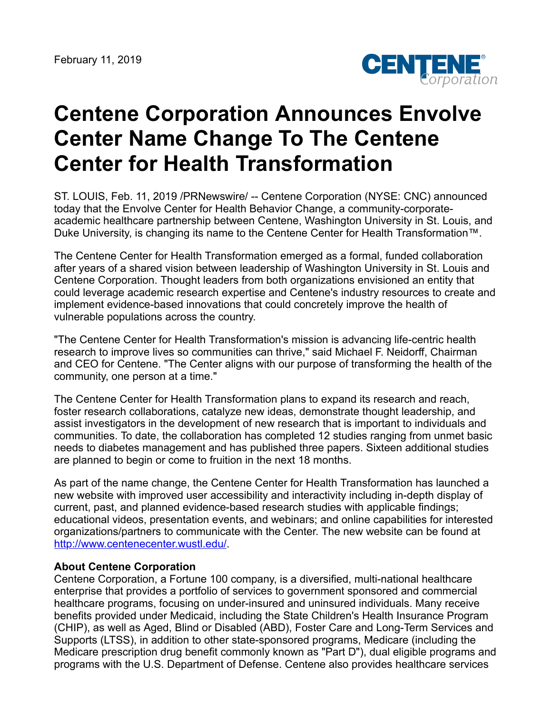

# **Centene Corporation Announces Envolve Center Name Change To The Centene Center for Health Transformation**

ST. LOUIS, Feb. 11, 2019 /PRNewswire/ -- Centene Corporation (NYSE: CNC) announced today that the Envolve Center for Health Behavior Change, a community-corporateacademic healthcare partnership between Centene, Washington University in St. Louis, and Duke University, is changing its name to the Centene Center for Health Transformation™.

The Centene Center for Health Transformation emerged as a formal, funded collaboration after years of a shared vision between leadership of Washington University in St. Louis and Centene Corporation. Thought leaders from both organizations envisioned an entity that could leverage academic research expertise and Centene's industry resources to create and implement evidence-based innovations that could concretely improve the health of vulnerable populations across the country.

"The Centene Center for Health Transformation's mission is advancing life-centric health research to improve lives so communities can thrive," said Michael F. Neidorff, Chairman and CEO for Centene. "The Center aligns with our purpose of transforming the health of the community, one person at a time."

The Centene Center for Health Transformation plans to expand its research and reach, foster research collaborations, catalyze new ideas, demonstrate thought leadership, and assist investigators in the development of new research that is important to individuals and communities. To date, the collaboration has completed 12 studies ranging from unmet basic needs to diabetes management and has published three papers. Sixteen additional studies are planned to begin or come to fruition in the next 18 months.

As part of the name change, the Centene Center for Health Transformation has launched a new website with improved user accessibility and interactivity including in-depth display of current, past, and planned evidence-based research studies with applicable findings; educational videos, presentation events, and webinars; and online capabilities for interested organizations/partners to communicate with the Center. The new website can be found at <http://www.centenecenter.wustl.edu/>.

## **About Centene Corporation**

Centene Corporation, a Fortune 100 company, is a diversified, multi-national healthcare enterprise that provides a portfolio of services to government sponsored and commercial healthcare programs, focusing on under-insured and uninsured individuals. Many receive benefits provided under Medicaid, including the State Children's Health Insurance Program (CHIP), as well as Aged, Blind or Disabled (ABD), Foster Care and Long-Term Services and Supports (LTSS), in addition to other state-sponsored programs, Medicare (including the Medicare prescription drug benefit commonly known as "Part D"), dual eligible programs and programs with the U.S. Department of Defense. Centene also provides healthcare services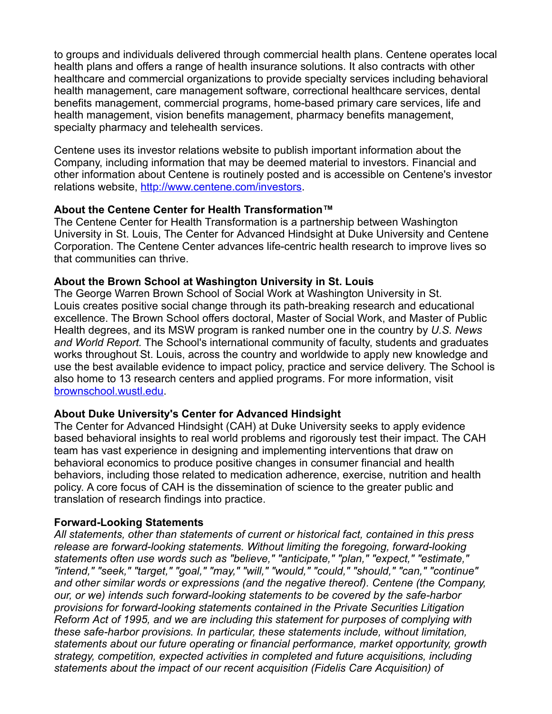to groups and individuals delivered through commercial health plans. Centene operates local health plans and offers a range of health insurance solutions. It also contracts with other healthcare and commercial organizations to provide specialty services including behavioral health management, care management software, correctional healthcare services, dental benefits management, commercial programs, home-based primary care services, life and health management, vision benefits management, pharmacy benefits management, specialty pharmacy and telehealth services.

Centene uses its investor relations website to publish important information about the Company, including information that may be deemed material to investors. Financial and other information about Centene is routinely posted and is accessible on Centene's investor relations website, <http://www.centene.com/investors>.

### **About the Centene Center for Health Transformation™**

The Centene Center for Health Transformation is a partnership between Washington University in St. Louis, The Center for Advanced Hindsight at Duke University and Centene Corporation. The Centene Center advances life-centric health research to improve lives so that communities can thrive.

## **About the Brown School at Washington University in St. Louis**

The George Warren Brown School of Social Work at Washington University in St. Louis creates positive social change through its path-breaking research and educational excellence. The Brown School offers doctoral, Master of Social Work, and Master of Public Health degrees, and its MSW program is ranked number one in the country by *U.S. News and World Report.* The School's international community of faculty, students and graduates works throughout St. Louis, across the country and worldwide to apply new knowledge and use the best available evidence to impact policy, practice and service delivery. The School is also home to 13 research centers and applied programs. For more information, visit [brownschool.wustl.edu.](http://brownschool.wustl.edu/Pages/Home.aspx)

## **About Duke University's Center for Advanced Hindsight**

The Center for Advanced Hindsight (CAH) at Duke University seeks to apply evidence based behavioral insights to real world problems and rigorously test their impact. The CAH team has vast experience in designing and implementing interventions that draw on behavioral economics to produce positive changes in consumer financial and health behaviors, including those related to medication adherence, exercise, nutrition and health policy. A core focus of CAH is the dissemination of science to the greater public and translation of research findings into practice.

## **Forward-Looking Statements**

*All statements, other than statements of current or historical fact, contained in this press release are forward-looking statements. Without limiting the foregoing, forward-looking statements often use words such as "believe," "anticipate," "plan," "expect," "estimate," "intend," "seek," "target," "goal," "may," "will," "would," "could," "should," "can," "continue" and other similar words or expressions (and the negative thereof). Centene (the Company, our, or we) intends such forward-looking statements to be covered by the safe-harbor provisions for forward-looking statements contained in the Private Securities Litigation Reform Act of 1995, and we are including this statement for purposes of complying with these safe-harbor provisions. In particular, these statements include, without limitation, statements about our future operating or financial performance, market opportunity, growth strategy, competition, expected activities in completed and future acquisitions, including statements about the impact of our recent acquisition (Fidelis Care Acquisition) of*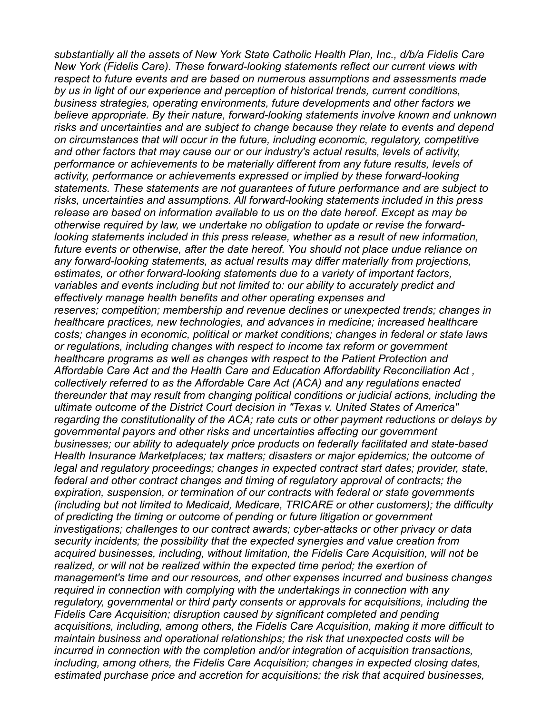*substantially all the assets of New York State Catholic Health Plan, Inc., d/b/a Fidelis Care New York (Fidelis Care). These forward-looking statements reflect our current views with respect to future events and are based on numerous assumptions and assessments made by us in light of our experience and perception of historical trends, current conditions, business strategies, operating environments, future developments and other factors we believe appropriate. By their nature, forward-looking statements involve known and unknown risks and uncertainties and are subject to change because they relate to events and depend on circumstances that will occur in the future, including economic, regulatory, competitive and other factors that may cause our or our industry's actual results, levels of activity, performance or achievements to be materially different from any future results, levels of activity, performance or achievements expressed or implied by these forward-looking statements. These statements are not guarantees of future performance and are subject to risks, uncertainties and assumptions. All forward-looking statements included in this press release are based on information available to us on the date hereof. Except as may be otherwise required by law, we undertake no obligation to update or revise the forwardlooking statements included in this press release, whether as a result of new information, future events or otherwise, after the date hereof. You should not place undue reliance on any forward-looking statements, as actual results may differ materially from projections, estimates, or other forward-looking statements due to a variety of important factors, variables and events including but not limited to: our ability to accurately predict and effectively manage health benefits and other operating expenses and reserves; competition; membership and revenue declines or unexpected trends; changes in healthcare practices, new technologies, and advances in medicine; increased healthcare costs; changes in economic, political or market conditions; changes in federal or state laws or regulations, including changes with respect to income tax reform or government healthcare programs as well as changes with respect to the Patient Protection and Affordable Care Act and the Health Care and Education Affordability Reconciliation Act , collectively referred to as the Affordable Care Act (ACA) and any regulations enacted thereunder that may result from changing political conditions or judicial actions, including the ultimate outcome of the District Court decision in "Texas v. United States of America" regarding the constitutionality of the ACA; rate cuts or other payment reductions or delays by governmental payors and other risks and uncertainties affecting our government businesses; our ability to adequately price products on federally facilitated and state-based Health Insurance Marketplaces; tax matters; disasters or major epidemics; the outcome of legal and regulatory proceedings; changes in expected contract start dates; provider, state, federal and other contract changes and timing of regulatory approval of contracts; the expiration, suspension, or termination of our contracts with federal or state governments (including but not limited to Medicaid, Medicare, TRICARE or other customers); the difficulty of predicting the timing or outcome of pending or future litigation or government investigations; challenges to our contract awards; cyber-attacks or other privacy or data security incidents; the possibility that the expected synergies and value creation from acquired businesses, including, without limitation, the Fidelis Care Acquisition, will not be realized, or will not be realized within the expected time period; the exertion of management's time and our resources, and other expenses incurred and business changes required in connection with complying with the undertakings in connection with any regulatory, governmental or third party consents or approvals for acquisitions, including the Fidelis Care Acquisition; disruption caused by significant completed and pending acquisitions, including, among others, the Fidelis Care Acquisition, making it more difficult to maintain business and operational relationships; the risk that unexpected costs will be incurred in connection with the completion and/or integration of acquisition transactions, including, among others, the Fidelis Care Acquisition; changes in expected closing dates, estimated purchase price and accretion for acquisitions; the risk that acquired businesses,*